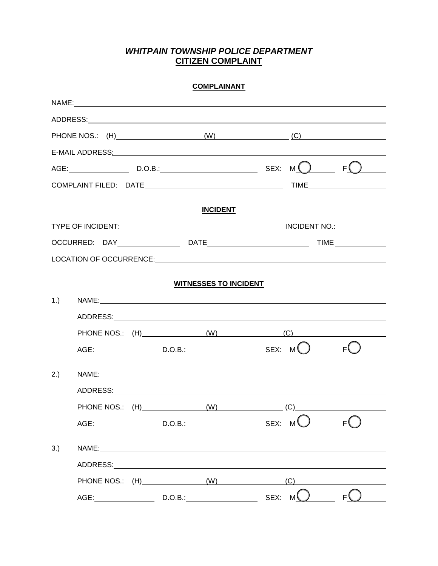## *WHITPAIN TOWNSHIP POLICE DEPARTMENT*  **CITIZEN COMPLAINT**

| <b>COMPLAINANT</b> |                                                                                                                                                                                                                                |  |  |                              |                              |     |                                 |  |
|--------------------|--------------------------------------------------------------------------------------------------------------------------------------------------------------------------------------------------------------------------------|--|--|------------------------------|------------------------------|-----|---------------------------------|--|
|                    |                                                                                                                                                                                                                                |  |  |                              |                              |     |                                 |  |
|                    |                                                                                                                                                                                                                                |  |  |                              |                              |     |                                 |  |
|                    |                                                                                                                                                                                                                                |  |  |                              |                              |     | PHONE NOS.: (H) (W) (C)         |  |
|                    | E-MAIL ADDRESS: Web and the contract of the contract of the contract of the contract of the contract of the contract of the contract of the contract of the contract of the contract of the contract of the contract of the co |  |  |                              |                              |     |                                 |  |
|                    |                                                                                                                                                                                                                                |  |  |                              |                              |     | AGE: D.O.B.: D.O.B.: SEX: $M$ P |  |
|                    |                                                                                                                                                                                                                                |  |  |                              |                              |     |                                 |  |
|                    |                                                                                                                                                                                                                                |  |  |                              |                              |     |                                 |  |
|                    |                                                                                                                                                                                                                                |  |  | <b>INCIDENT</b>              |                              |     |                                 |  |
|                    |                                                                                                                                                                                                                                |  |  |                              |                              |     |                                 |  |
|                    |                                                                                                                                                                                                                                |  |  |                              |                              |     |                                 |  |
|                    |                                                                                                                                                                                                                                |  |  |                              |                              |     |                                 |  |
|                    |                                                                                                                                                                                                                                |  |  | <b>WITNESSES TO INCIDENT</b> |                              |     |                                 |  |
| $1.$ )             |                                                                                                                                                                                                                                |  |  |                              |                              |     |                                 |  |
|                    |                                                                                                                                                                                                                                |  |  |                              |                              |     |                                 |  |
|                    | PHONE NOS.: (H) (W) (C)                                                                                                                                                                                                        |  |  |                              |                              |     |                                 |  |
|                    | $AGE:$ D.O.B.: SEX: M                                                                                                                                                                                                          |  |  |                              |                              |     |                                 |  |
| 2.)                |                                                                                                                                                                                                                                |  |  |                              |                              |     |                                 |  |
|                    | NAME:                                                                                                                                                                                                                          |  |  |                              |                              |     |                                 |  |
|                    |                                                                                                                                                                                                                                |  |  |                              |                              |     |                                 |  |
|                    | PHONE NOS.: (H)________________________(W)                                                                                                                                                                                     |  |  |                              | $\overline{\phantom{a}}$ (C) |     |                                 |  |
|                    |                                                                                                                                                                                                                                |  |  |                              |                              |     |                                 |  |
| 3.)                |                                                                                                                                                                                                                                |  |  |                              |                              |     |                                 |  |
|                    |                                                                                                                                                                                                                                |  |  |                              |                              |     |                                 |  |
|                    | PHONE NOS.: (H) (W)                                                                                                                                                                                                            |  |  |                              |                              | (C) |                                 |  |
|                    |                                                                                                                                                                                                                                |  |  | D.O.B.:                      | SEX: M                       |     | F۱                              |  |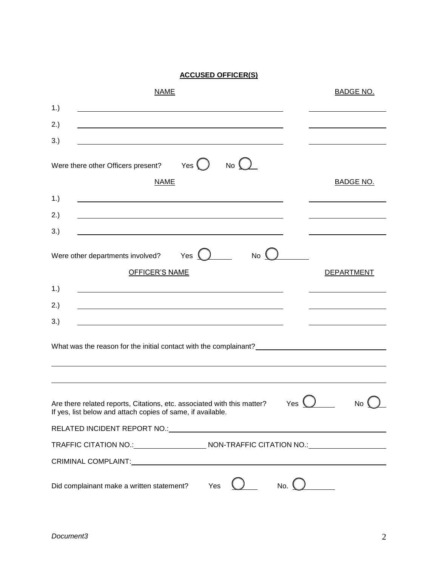## **ACCUSED OFFICER(S)**

| <b>NAME</b>                                                                                                                                                                                                                          | <b>BADGE NO.</b>  |  |  |  |  |  |
|--------------------------------------------------------------------------------------------------------------------------------------------------------------------------------------------------------------------------------------|-------------------|--|--|--|--|--|
| 1.)                                                                                                                                                                                                                                  |                   |  |  |  |  |  |
| 2.)                                                                                                                                                                                                                                  |                   |  |  |  |  |  |
| 3.)                                                                                                                                                                                                                                  |                   |  |  |  |  |  |
| Were there other Officers present? Yes $\bigcirc$<br>No C<br><b>NAME</b>                                                                                                                                                             | <b>BADGE NO.</b>  |  |  |  |  |  |
| 1.)                                                                                                                                                                                                                                  |                   |  |  |  |  |  |
| 2.)<br>3.)                                                                                                                                                                                                                           |                   |  |  |  |  |  |
| Yes $\bigcup$<br>$No$ $($<br>Were other departments involved?<br><b>OFFICER'S NAME</b>                                                                                                                                               | <b>DEPARTMENT</b> |  |  |  |  |  |
| 1.)<br>the control of the control of the control of the control of the control of the control of the control of the control of the control of the control of the control of the control of the control of the control of the control |                   |  |  |  |  |  |
| 2.)                                                                                                                                                                                                                                  |                   |  |  |  |  |  |
| 3.)                                                                                                                                                                                                                                  |                   |  |  |  |  |  |
|                                                                                                                                                                                                                                      |                   |  |  |  |  |  |
|                                                                                                                                                                                                                                      |                   |  |  |  |  |  |
| Are there related reports, Citations, etc. associated with this matter?<br>No<br>Yes<br>If yes, list below and attach copies of same, if available.                                                                                  |                   |  |  |  |  |  |
| RELATED INCIDENT REPORT NO.: NATIONAL PROPERTY OF A SERIES AND THE SERIES OF A SERIES OF A SERIES OF A SERIES OF A SERIES OF A SERIES OF A SERIES OF A SERIES OF A SERIES OF A SERIES OF A SERIES OF A SERIES OF A SERIES OF A       |                   |  |  |  |  |  |
| TRAFFIC CITATION NO.: NON-TRAFFIC CITATION NO.: NON-TRAFFIC CITATION NO                                                                                                                                                              |                   |  |  |  |  |  |
| CRIMINAL COMPLAINT:<br><u> 1980 - Johann Barbara, martxa a shekara 1980 - An tsaran 1980 - An tsara 1980 - An tsara 1980 - An tsara 198</u>                                                                                          |                   |  |  |  |  |  |
| Yes<br>Did complainant make a written statement?                                                                                                                                                                                     | No. <u>(</u>      |  |  |  |  |  |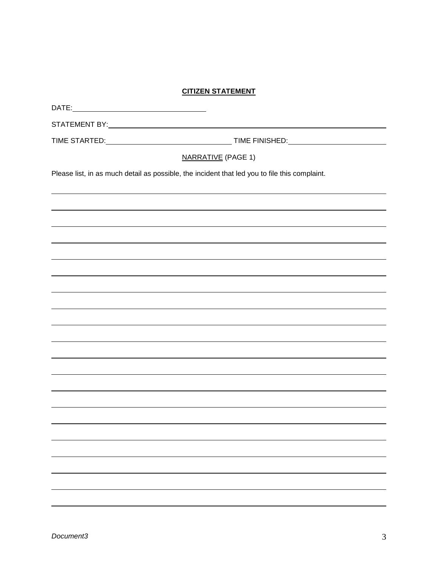## **CITIZEN STATEMENT**

| <u>CITIZEN STATEMENT</u>                                                                      |                                                                                                                                                                                                                                |  |  |  |  |  |  |
|-----------------------------------------------------------------------------------------------|--------------------------------------------------------------------------------------------------------------------------------------------------------------------------------------------------------------------------------|--|--|--|--|--|--|
|                                                                                               |                                                                                                                                                                                                                                |  |  |  |  |  |  |
|                                                                                               | STATEMENT BY: NATIONAL CONTRACT CONTRACT CONTRACT CONTRACT CONTRACT CONTRACT CONTRACT CONTRACT CONTRACT CONTRACT CONTRACT CONTRACT CONTRACT CONTRACT CONTRACT CONTRACT CONTRACT CONTRACT CONTRACT CONTRACT CONTRACT CONTRACT C |  |  |  |  |  |  |
|                                                                                               |                                                                                                                                                                                                                                |  |  |  |  |  |  |
| <b>NARRATIVE (PAGE 1)</b>                                                                     |                                                                                                                                                                                                                                |  |  |  |  |  |  |
| Please list, in as much detail as possible, the incident that led you to file this complaint. |                                                                                                                                                                                                                                |  |  |  |  |  |  |
|                                                                                               |                                                                                                                                                                                                                                |  |  |  |  |  |  |
|                                                                                               |                                                                                                                                                                                                                                |  |  |  |  |  |  |
|                                                                                               |                                                                                                                                                                                                                                |  |  |  |  |  |  |
|                                                                                               |                                                                                                                                                                                                                                |  |  |  |  |  |  |
|                                                                                               |                                                                                                                                                                                                                                |  |  |  |  |  |  |
|                                                                                               | ,我们也不会有什么。""我们的人,我们也不会有什么?""我们的人,我们也不会有什么?""我们的人,我们也不会有什么?""我们的人,我们也不会有什么?""我们的人                                                                                                                                               |  |  |  |  |  |  |
|                                                                                               |                                                                                                                                                                                                                                |  |  |  |  |  |  |
|                                                                                               |                                                                                                                                                                                                                                |  |  |  |  |  |  |
|                                                                                               | ,我们也不会有什么。""我们的人,我们也不会有什么?""我们的人,我们也不会有什么?""我们的人,我们也不会有什么?""我们的人,我们也不会有什么?""我们的人                                                                                                                                               |  |  |  |  |  |  |
|                                                                                               | ,我们也不会有什么。""我们的人,我们也不会有什么?""我们的人,我们也不会有什么?""我们的人,我们也不会有什么?""我们的人,我们也不会有什么?""我们的人                                                                                                                                               |  |  |  |  |  |  |
|                                                                                               |                                                                                                                                                                                                                                |  |  |  |  |  |  |
|                                                                                               | ,我们也不会有什么。""我们的人,我们也不会有什么?""我们的人,我们也不会有什么?""我们的人,我们也不会有什么?""我们的人,我们也不会有什么?""我们的人                                                                                                                                               |  |  |  |  |  |  |
|                                                                                               |                                                                                                                                                                                                                                |  |  |  |  |  |  |
|                                                                                               |                                                                                                                                                                                                                                |  |  |  |  |  |  |
|                                                                                               |                                                                                                                                                                                                                                |  |  |  |  |  |  |
|                                                                                               |                                                                                                                                                                                                                                |  |  |  |  |  |  |
|                                                                                               |                                                                                                                                                                                                                                |  |  |  |  |  |  |
|                                                                                               |                                                                                                                                                                                                                                |  |  |  |  |  |  |
|                                                                                               |                                                                                                                                                                                                                                |  |  |  |  |  |  |
|                                                                                               |                                                                                                                                                                                                                                |  |  |  |  |  |  |
|                                                                                               |                                                                                                                                                                                                                                |  |  |  |  |  |  |